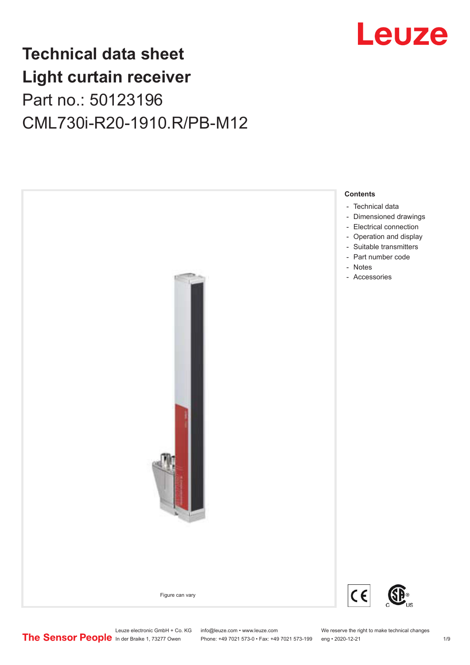

## **Technical data sheet Light curtain receiver** Part no.: 50123196 CML730i-R20-1910.R/PB-M12



Leuze electronic GmbH + Co. KG info@leuze.com • www.leuze.com We reserve the right to make technical changes<br>
The Sensor People in der Braike 1, 73277 Owen Phone: +49 7021 573-0 • Fax: +49 7021 573-199 eng • 2020-12-21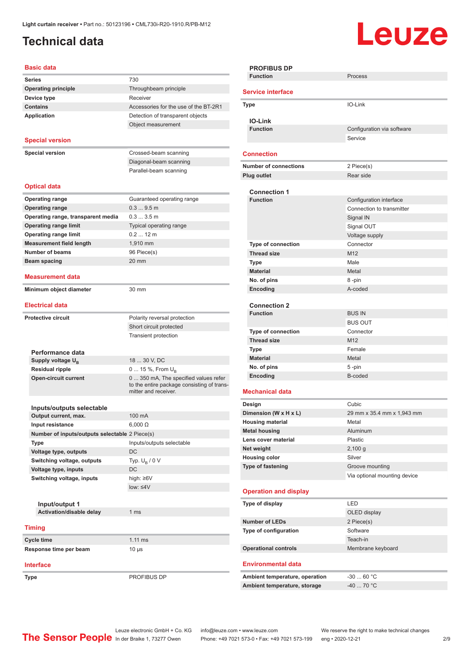### <span id="page-1-0"></span>**Technical data**

# Leuze

| <b>Basic data</b>                                                  |                                            |
|--------------------------------------------------------------------|--------------------------------------------|
| <b>Series</b>                                                      | 730                                        |
| <b>Operating principle</b>                                         | Throughbeam principle                      |
| Device type                                                        | Receiver                                   |
| <b>Contains</b>                                                    | Accessories for the use of the BT-2R1      |
| <b>Application</b>                                                 | Detection of transparent objects           |
|                                                                    | Object measurement                         |
|                                                                    |                                            |
| <b>Special version</b>                                             |                                            |
| <b>Special version</b>                                             | Crossed-beam scanning                      |
|                                                                    | Diagonal-beam scanning                     |
|                                                                    | Parallel-beam scanning                     |
|                                                                    |                                            |
| <b>Optical data</b>                                                |                                            |
| <b>Operating range</b>                                             | Guaranteed operating range                 |
| <b>Operating range</b>                                             | 0.39.5m                                    |
| Operating range, transparent media                                 | 0.33.5m                                    |
| <b>Operating range limit</b>                                       | Typical operating range                    |
| <b>Operating range limit</b>                                       | $0.212$ m                                  |
| <b>Measurement field length</b>                                    | 1,910 mm                                   |
| <b>Number of beams</b>                                             | 96 Piece(s)                                |
| <b>Beam spacing</b>                                                | 20 mm                                      |
|                                                                    |                                            |
| <b>Measurement data</b>                                            |                                            |
| Minimum object diameter                                            | 30 mm                                      |
|                                                                    |                                            |
| <b>Electrical data</b>                                             |                                            |
| <b>Protective circuit</b>                                          | Polarity reversal protection               |
|                                                                    | Short circuit protected                    |
|                                                                    | <b>Transient protection</b>                |
|                                                                    |                                            |
| Performance data                                                   | 18  30 V, DC                               |
| Supply voltage U <sub>B</sub><br><b>Residual ripple</b>            | 0  15 %, From $U_{\rm B}$                  |
| <b>Open-circuit current</b>                                        | 0  350 mA, The specified values refer      |
|                                                                    | to the entire package consisting of trans- |
|                                                                    | mitter and receiver.                       |
|                                                                    |                                            |
| Inputs/outputs selectable                                          |                                            |
| Output current, max.                                               | 100 mA                                     |
| Input resistance<br>Number of inputs/outputs selectable 2 Piece(s) | $6,000 \Omega$                             |
| <b>Type</b>                                                        | Inputs/outputs selectable                  |
| Voltage type, outputs                                              | DC                                         |
| Switching voltage, outputs                                         | Typ. $U_B / 0 V$                           |
| Voltage type, inputs                                               | DC                                         |
| Switching voltage, inputs                                          | high: ≥6V                                  |
|                                                                    | $low: \leq 4V$                             |
|                                                                    |                                            |
| Input/output 1                                                     |                                            |
| Activation/disable delay                                           | 1 <sub>ms</sub>                            |
|                                                                    |                                            |
| <b>Timing</b>                                                      |                                            |
| Cycle time                                                         | $1.11$ ms                                  |
| Response time per beam                                             | $10 \mu s$                                 |
|                                                                    |                                            |
|                                                                    |                                            |

**PROFIBUS DP Function** Process **Service interface Type** IO-Link **IO-Link Configuration** via software Service **Connection Number of connections** 2 Piece(s) **Plug outlet** Rear side **Connection 1 Configuration** interface Connection to transmitter Signal IN Signal OUT Voltage supply **Type of connection** Connector **Thread size** M12 **Type Male Material** Metal **No. of pins** 8 -pin **Encoding** A-coded **Connection 2 Function** BUS IN BUS OUT **Type of connection** Connector **Thread size** M12 **Type** Female **Material** Metal **No. of pins** 5 -pin **Encoding** B-coded **Mechanical data Design Cubic Dimension (W x H x L)** 29 mm x 35.4 mm x 1,943 mm **Housing material** Metal **Metal housing Aluminum Lens cover material** Plastic **Net weight** 2,100 g **Housing color** Silver **Type of fastening** Groove mounting Via optional mounting device **Operation and display Type of display** LED OLED display **Number of LEDs** 2 Piece(s) **Type of configuration** Software Teach-in **Operational controls** Membrane keyboard **Environmental data** Ambient temperature, operation  $-30...60$  °C Ambient temperature, storage 40 ... 70 °C

Leuze electronic GmbH + Co. KG info@leuze.com • www.leuze.com We reserve the right to make technical changes<br>
The Sensor People in der Braike 1, 73277 Owen Phone: +49 7021 573-0 • Fax: +49 7021 573-199 eng • 2020-12-21 Phone: +49 7021 573-0 • Fax: +49 7021 573-199 eng • 2020-12-21 2/9

**Type** PROFIBUS DP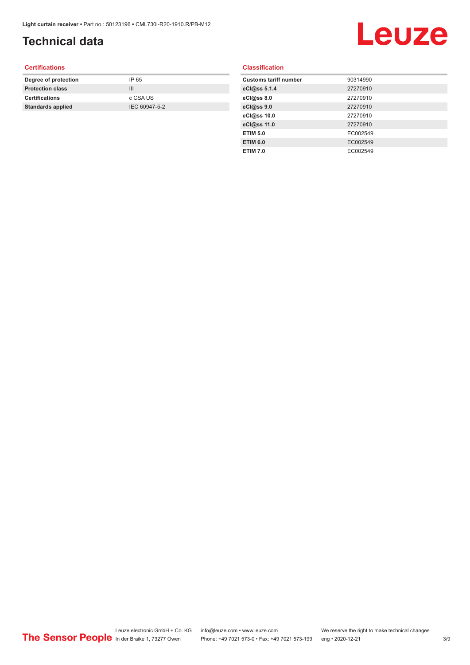## **Technical data**

# Leuze

#### **Certifications**

| Degree of protection     | IP 65         |
|--------------------------|---------------|
| <b>Protection class</b>  | Ш             |
| <b>Certifications</b>    | c CSA US      |
| <b>Standards applied</b> | IEC 60947-5-2 |
|                          |               |

#### **Classification**

| <b>Customs tariff number</b> | 90314990 |
|------------------------------|----------|
| eCl@ss 5.1.4                 | 27270910 |
| eCl@ss 8.0                   | 27270910 |
| eCl@ss 9.0                   | 27270910 |
| eCl@ss 10.0                  | 27270910 |
| eCl@ss 11.0                  | 27270910 |
| <b>ETIM 5.0</b>              | EC002549 |
| <b>ETIM 6.0</b>              | EC002549 |
| <b>ETIM 7.0</b>              | EC002549 |
|                              |          |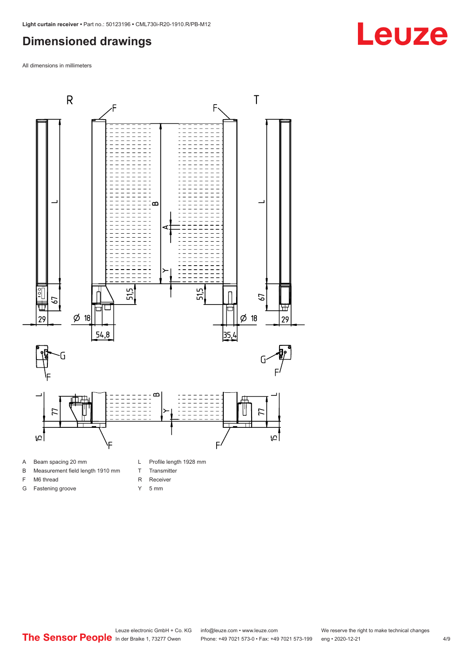#### <span id="page-3-0"></span>**Dimensioned drawings**

All dimensions in millimeters



- 
- B Measurement field length 1910 mm
- F M6 thread

G Fastening groove

- R Receiver
	- Y 5 mm

T Transmitter



## **Leuze**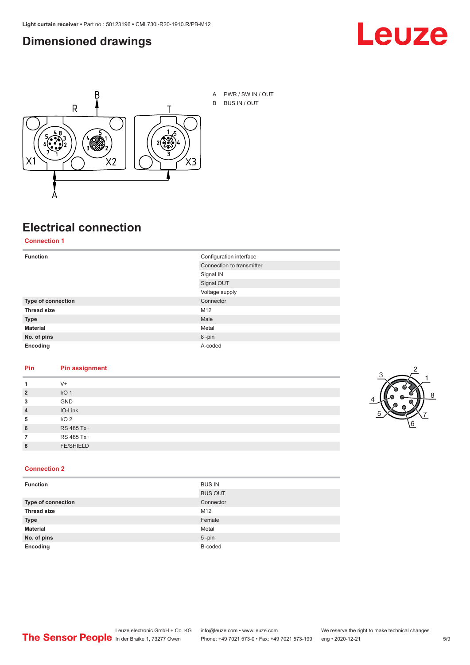#### <span id="page-4-0"></span>**Dimensioned drawings**





A PWR / SW IN / OUT B BUS IN / OUT

## **Electrical connection**

**Connection 1**

| <b>Function</b>    | Configuration interface   |
|--------------------|---------------------------|
|                    | Connection to transmitter |
|                    | Signal IN                 |
|                    | Signal OUT                |
|                    | Voltage supply            |
| Type of connection | Connector                 |
| <b>Thread size</b> | M12                       |
| <b>Type</b>        | Male                      |
| <b>Material</b>    | Metal                     |
| No. of pins        | 8-pin                     |
| Encoding           | A-coded                   |

#### **Pin Pin assignment**

|                | $V +$            |  |  |
|----------------|------------------|--|--|
| $\overline{2}$ | I/O <sub>1</sub> |  |  |
| 3              | <b>GND</b>       |  |  |
| $\overline{4}$ | IO-Link          |  |  |
| 5              | I/O <sub>2</sub> |  |  |
| 6              | RS 485 Tx+       |  |  |
|                | RS 485 Tx+       |  |  |
| 8              | <b>FE/SHIELD</b> |  |  |
|                |                  |  |  |



#### **Connection 2**

| <b>Function</b>    | <b>BUS IN</b>  |
|--------------------|----------------|
|                    | <b>BUS OUT</b> |
| Type of connection | Connector      |
| <b>Thread size</b> | M12            |
| <b>Type</b>        | Female         |
| <b>Material</b>    | Metal          |
| No. of pins        | $5$ -pin       |
| Encoding           | B-coded        |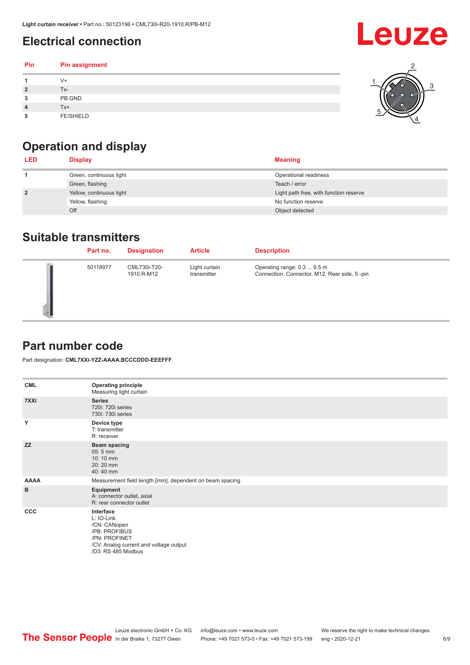### <span id="page-5-0"></span>**Electrical connection**

| Pin | Pin assignment   |  |
|-----|------------------|--|
|     | V+               |  |
|     | Tx-              |  |
| 3   | PB GND           |  |
|     | $Tx+$            |  |
| 5   | <b>FE/SHIELD</b> |  |

### **Operation and display**

| <b>LED</b>     | <b>Display</b>           | <b>Meaning</b>                         |
|----------------|--------------------------|----------------------------------------|
|                | Green, continuous light  | Operational readiness                  |
|                | Green, flashing          | Teach / error                          |
| $\overline{2}$ | Yellow, continuous light | Light path free, with function reserve |
|                | Yellow, flashing         | No function reserve                    |
|                | Off                      | Object detected                        |

#### **Suitable transmitters**

| Part no. | <b>Designation</b>         | <b>Article</b>               | <b>Description</b>                                                          |
|----------|----------------------------|------------------------------|-----------------------------------------------------------------------------|
| 50118977 | CML730i-T20-<br>1910.R-M12 | Light curtain<br>transmitter | Operating range: 0.3  9.5 m<br>Connection: Connector, M12, Rear side, 5-pin |

#### **Part number code**

Part designation: **CML7XXi-YZZ-AAAA.BCCCDDD-EEEFFF**

| <b>CML</b>  | <b>Operating principle</b><br>Measuring light curtain                                                                                     |
|-------------|-------------------------------------------------------------------------------------------------------------------------------------------|
| 7XXi        | <b>Series</b><br>720i: 720i series<br>730i: 730i series                                                                                   |
| Y           | Device type<br>T: transmitter<br>R: receiver                                                                                              |
| <b>ZZ</b>   | <b>Beam spacing</b><br>$05:5$ mm<br>10:10 mm<br>20:20 mm<br>40:40 mm                                                                      |
| <b>AAAA</b> | Measurement field length [mm], dependent on beam spacing                                                                                  |
| B           | Equipment<br>A: connector outlet, axial<br>R: rear connector outlet                                                                       |
| CCC         | Interface<br>L: IO-Link<br>/CN: CANopen<br>/PB: PROFIBUS<br>/PN: PROFINET<br>/CV: Analog current and voltage output<br>/D3: RS 485 Modbus |

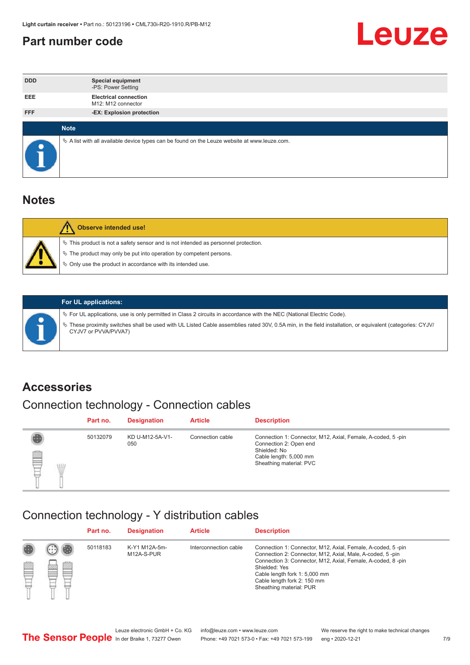#### <span id="page-6-0"></span>**Part number code**



| <b>DDD</b>  | <b>Special equipment</b><br>-PS: Power Setting                                                  |
|-------------|-------------------------------------------------------------------------------------------------|
| <b>EEE</b>  | <b>Electrical connection</b><br>M12: M12 connector                                              |
| <b>FFF</b>  | -EX: Explosion protection                                                                       |
|             |                                                                                                 |
| <b>Note</b> |                                                                                                 |
|             | $\&$ A list with all available device types can be found on the Leuze website at www.leuze.com. |

#### **Notes**

| <b>Observe intended use!</b>                                                                                                                                                                                                  |
|-------------------------------------------------------------------------------------------------------------------------------------------------------------------------------------------------------------------------------|
| $\%$ This product is not a safety sensor and is not intended as personnel protection.<br>$\%$ The product may only be put into operation by competent persons.<br>♦ Only use the product in accordance with its intended use. |



#### **For UL applications:**

ª For UL applications, use is only permitted in Class 2 circuits in accordance with the NEC (National Electric Code). ª These proximity switches shall be used with UL Listed Cable assemblies rated 30V, 0.5A min, in the field installation, or equivalent (categories: CYJV/ CYJV7 or PVVA/PVVA7)

#### **Accessories**

### Connection technology - Connection cables

|        | Part no. | <b>Designation</b>     | <b>Article</b>   | <b>Description</b>                                                                                                                                         |
|--------|----------|------------------------|------------------|------------------------------------------------------------------------------------------------------------------------------------------------------------|
| 2<br>W | 50132079 | KD U-M12-5A-V1-<br>050 | Connection cable | Connection 1: Connector, M12, Axial, Female, A-coded, 5-pin<br>Connection 2: Open end<br>Shielded: No<br>Cable length: 5,000 mm<br>Sheathing material: PVC |

#### Connection technology - Y distribution cables

|             |   | Part no. | <b>Designation</b>          | <b>Article</b>        | <b>Description</b>                                                                                                                                                                                                                                                                                  |
|-------------|---|----------|-----------------------------|-----------------------|-----------------------------------------------------------------------------------------------------------------------------------------------------------------------------------------------------------------------------------------------------------------------------------------------------|
| 圔<br>⋿<br>٣ | ø | 50118183 | K-Y1 M12A-5m-<br>M12A-S-PUR | Interconnection cable | Connection 1: Connector, M12, Axial, Female, A-coded, 5-pin<br>Connection 2: Connector, M12, Axial, Male, A-coded, 5-pin<br>Connection 3: Connector, M12, Axial, Female, A-coded, 8-pin<br>Shielded: Yes<br>Cable length fork 1: 5,000 mm<br>Cable length fork 2: 150 mm<br>Sheathing material: PUR |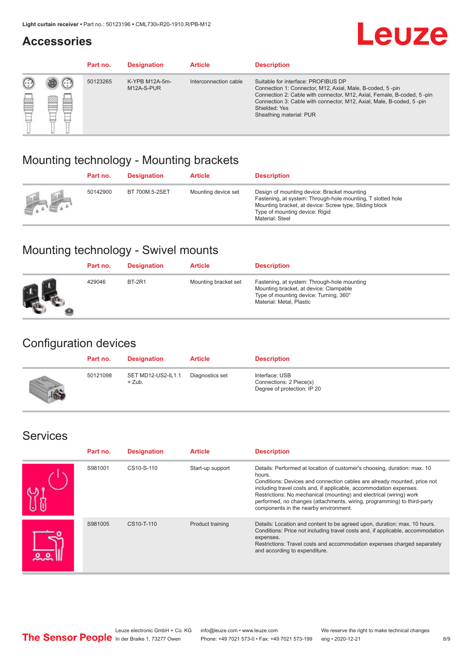#### **Accessories**

## **Leuze**

|   |            | Part no. | <b>Designation</b>           | <b>Article</b>        | <b>Description</b>                                                                                                                                                                                                                                                                             |
|---|------------|----------|------------------------------|-----------------------|------------------------------------------------------------------------------------------------------------------------------------------------------------------------------------------------------------------------------------------------------------------------------------------------|
| œ | 83<br>toni | 50123265 | K-YPB M12A-5m-<br>M12A-S-PUR | Interconnection cable | Suitable for interface: PROFIBUS DP<br>Connection 1: Connector, M12, Axial, Male, B-coded, 5-pin<br>Connection 2: Cable with connector, M12, Axial, Female, B-coded, 5-pin<br>Connection 3: Cable with connector, M12, Axial, Male, B-coded, 5-pin<br>Shielded: Yes<br>Sheathing material: PUR |

#### Mounting technology - Mounting brackets

|               | Part no. | <b>Designation</b> | <b>Article</b>      | <b>Description</b>                                                                                                                                                                                                        |
|---------------|----------|--------------------|---------------------|---------------------------------------------------------------------------------------------------------------------------------------------------------------------------------------------------------------------------|
| $\frac{1}{2}$ | 50142900 | BT 700M.5-2SET     | Mounting device set | Design of mounting device: Bracket mounting<br>Fastening, at system: Through-hole mounting, T slotted hole<br>Mounting bracket, at device: Screw type, Sliding block<br>Type of mounting device: Rigid<br>Material: Steel |

### Mounting technology - Swivel mounts

| Part no. | <b>Designation</b> | <b>Article</b>       | <b>Description</b>                                                                                                                                          |
|----------|--------------------|----------------------|-------------------------------------------------------------------------------------------------------------------------------------------------------------|
| 429046   | <b>BT-2R1</b>      | Mounting bracket set | Fastening, at system: Through-hole mounting<br>Mounting bracket, at device: Clampable<br>Type of mounting device: Turning, 360°<br>Material: Metal, Plastic |

#### Configuration devices

| Part no. | <b>Designation</b>             | <b>Article</b>  | <b>Description</b>                                                       |
|----------|--------------------------------|-----------------|--------------------------------------------------------------------------|
| 50121098 | SET MD12-US2-IL1.1<br>$+$ Zub. | Diagnostics set | Interface: USB<br>Connections: 2 Piece(s)<br>Degree of protection: IP 20 |

#### Services

| Part no. | <b>Designation</b> | <b>Article</b>   | <b>Description</b>                                                                                                                                                                                                                                                                                                                                                                                                              |
|----------|--------------------|------------------|---------------------------------------------------------------------------------------------------------------------------------------------------------------------------------------------------------------------------------------------------------------------------------------------------------------------------------------------------------------------------------------------------------------------------------|
| S981001  | CS10-S-110         | Start-up support | Details: Performed at location of customer's choosing, duration: max. 10<br>hours.<br>Conditions: Devices and connection cables are already mounted, price not<br>including travel costs and, if applicable, accommodation expenses.<br>Restrictions: No mechanical (mounting) and electrical (wiring) work<br>performed, no changes (attachments, wiring, programming) to third-party<br>components in the nearby environment. |
| S981005  | CS10-T-110         | Product training | Details: Location and content to be agreed upon, duration: max. 10 hours.<br>Conditions: Price not including travel costs and, if applicable, accommodation<br>expenses.<br>Restrictions: Travel costs and accommodation expenses charged separately<br>and according to expenditure.                                                                                                                                           |